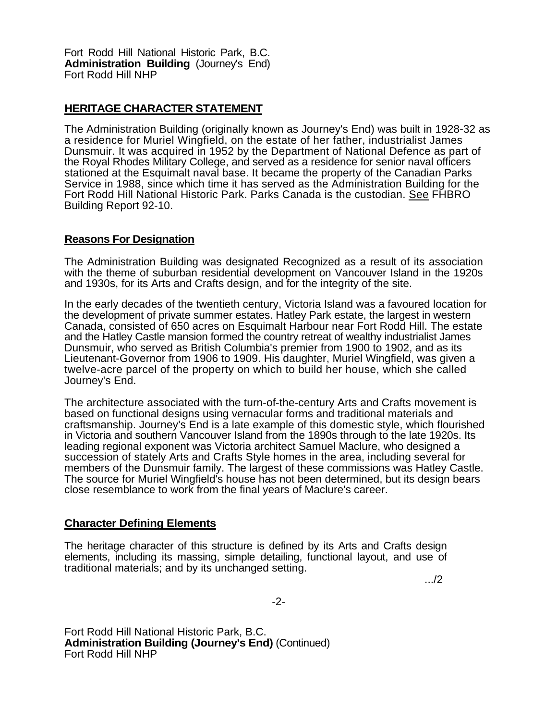Fort Rodd Hill National Historic Park, B.C. **Administration Building** (Journey's End) Fort Rodd Hill NHP

## **HERITAGE CHARACTER STATEMENT**

The Administration Building (originally known as Journey's End) was built in 1928-32 as a residence for Muriel Wingfield, on the estate of her father, industrialist James Dunsmuir. It was acquired in 1952 by the Department of National Defence as part of the Royal Rhodes Military College, and served as a residence for senior naval officers stationed at the Esquimalt naval base. It became the property of the Canadian Parks Service in 1988, since which time it has served as the Administration Building for the Fort Rodd Hill National Historic Park. Parks Canada is the custodian. See FHBRO Building Report 92-10.

## **Reasons For Designation**

The Administration Building was designated Recognized as a result of its association with the theme of suburban residential development on Vancouver Island in the 1920s and 1930s, for its Arts and Crafts design, and for the integrity of the site.

In the early decades of the twentieth century, Victoria Island was a favoured location for the development of private summer estates. Hatley Park estate, the largest in western Canada, consisted of 650 acres on Esquimalt Harbour near Fort Rodd Hill. The estate and the Hatley Castle mansion formed the country retreat of wealthy industrialist James Dunsmuir, who served as British Columbia's premier from 1900 to 1902, and as its Lieutenant-Governor from 1906 to 1909. His daughter, Muriel Wingfield, was given a twelve-acre parcel of the property on which to build her house, which she called Journey's End.

The architecture associated with the turn-of-the-century Arts and Crafts movement is based on functional designs using vernacular forms and traditional materials and craftsmanship. Journey's End is a late example of this domestic style, which flourished in Victoria and southern Vancouver Island from the 1890s through to the late 1920s. Its leading regional exponent was Victoria architect Samuel Maclure, who designed a succession of stately Arts and Crafts Style homes in the area, including several for members of the Dunsmuir family. The largest of these commissions was Hatley Castle. The source for Muriel Wingfield's house has not been determined, but its design bears close resemblance to work from the final years of Maclure's career.

## **Character Defining Elements**

The heritage character of this structure is defined by its Arts and Crafts design elements, including its massing, simple detailing, functional layout, and use of traditional materials; and by its unchanged setting.

.../2

Fort Rodd Hill National Historic Park, B.C. **Administration Building (Journey's End)** (Continued) Fort Rodd Hill NHP